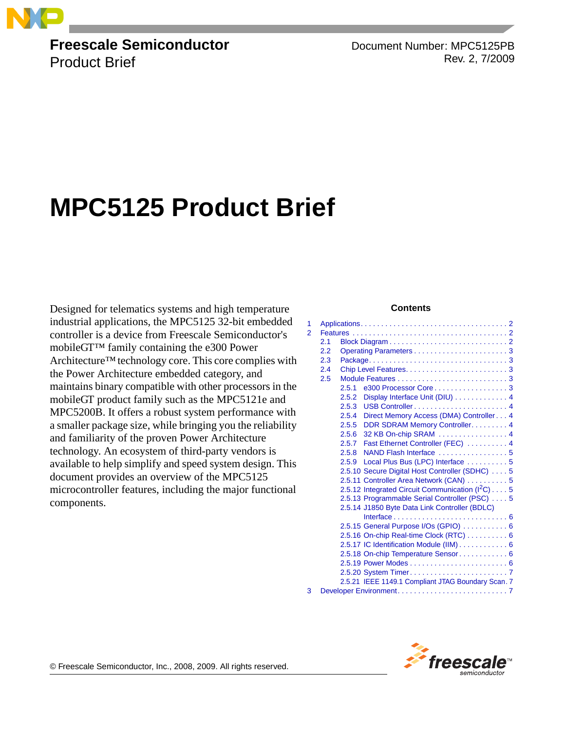

#### **Freescale Semiconductor** Product Brief

Document Number: MPC5125PB Rev. 2, 7/2009

# **MPC5125 Product Brief**

Designed for telematics systems and high temperature industrial applications, the MPC5125 32-bit embedded controller is a device from Freescale Semiconductor's mobileGT™ family containing the e300 Power Architecture™technology core. This core complies with the Power Architecture embedded category, and maintains binary compatible with other processors in the mobileGT product family such as the MPC5121e and MPC5200B. It offers a robust system performance with a smaller package size, while bringing you the reliability and familiarity of the proven Power Architecture technology. An ecosystem of third-party vendors is available to help simplify and speed system design. This document provides an overview of the MPC5125 microcontroller features, including the major functional components.

#### **Contents**

| 1 |     |                                                          |  |
|---|-----|----------------------------------------------------------|--|
| 2 |     |                                                          |  |
|   | 2.1 |                                                          |  |
|   | 2.2 |                                                          |  |
|   | 2.3 |                                                          |  |
|   | 2.4 |                                                          |  |
|   | 2.5 |                                                          |  |
|   |     | e300 Processor Core3<br>2.5.1                            |  |
|   |     | Display Interface Unit (DIU) 4<br>2.5.2                  |  |
|   |     | 2.5.3                                                    |  |
|   |     | Direct Memory Access (DMA) Controller 4<br>2.5.4         |  |
|   |     | DDR SDRAM Memory Controller. 4<br>2.5.5                  |  |
|   |     | 32 KB On-chip SRAM  4<br>2.5.6                           |  |
|   |     | 2.5.7 Fast Ethernet Controller (FEC)  4                  |  |
|   |     | NAND Flash Interface 5<br>2.5.8                          |  |
|   |     | Local Plus Bus (LPC) Interface  5<br>2.5.9               |  |
|   |     | 2.5.10 Secure Digital Host Controller (SDHC) 5           |  |
|   |     | 2.5.11 Controller Area Network (CAN) 5                   |  |
|   |     | 2.5.12 Integrated Circuit Communication $(l2C) \ldots$ 5 |  |
|   |     | 2.5.13 Programmable Serial Controller (PSC) 5            |  |
|   |     | 2.5.14 J1850 Byte Data Link Controller (BDLC)            |  |
|   |     |                                                          |  |
|   |     | 2.5.15 General Purpose I/Os (GPIO)  6                    |  |
|   |     | 2.5.16 On-chip Real-time Clock (RTC) 6                   |  |
|   |     | 2.5.17 IC Identification Module (IIM) 6                  |  |
|   |     | 2.5.18 On-chip Temperature Sensor 6                      |  |
|   |     |                                                          |  |
|   |     |                                                          |  |
|   |     | 2.5.21 IEEE 1149.1 Compliant JTAG Boundary Scan. 7       |  |
| 3 |     |                                                          |  |



© Freescale Semiconductor, Inc., 2008, 2009. All rights reserved.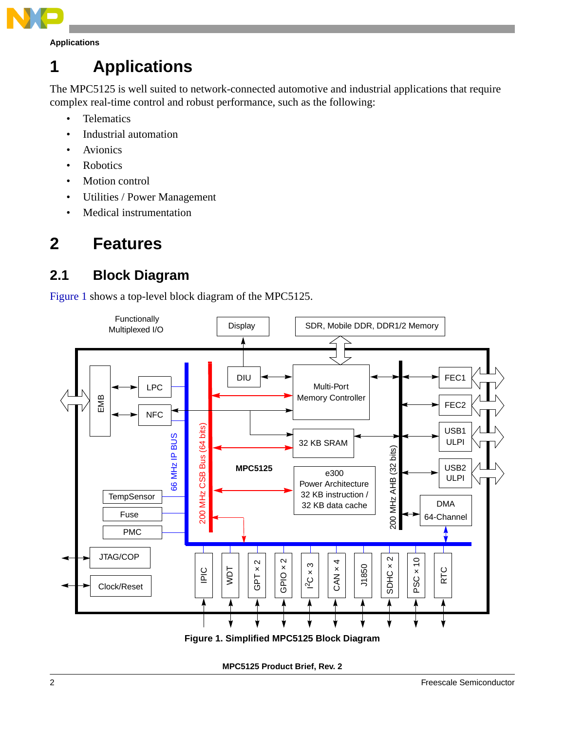

## <span id="page-1-0"></span>**1 Applications**

The MPC5125 is well suited to network-connected automotive and industrial applications that require complex real-time control and robust performance, such as the following:

- Telematics
- Industrial automation
- Avionics
- Robotics
- Motion control
- Utilities / Power Management
- Medical instrumentation

## <span id="page-1-1"></span>**2 Features**

### <span id="page-1-2"></span>**2.1 Block Diagram**

[Figure 1](#page-1-3) shows a top-level block diagram of the MPC5125.



<span id="page-1-3"></span>**MPC5125 Product Brief, Rev. 2**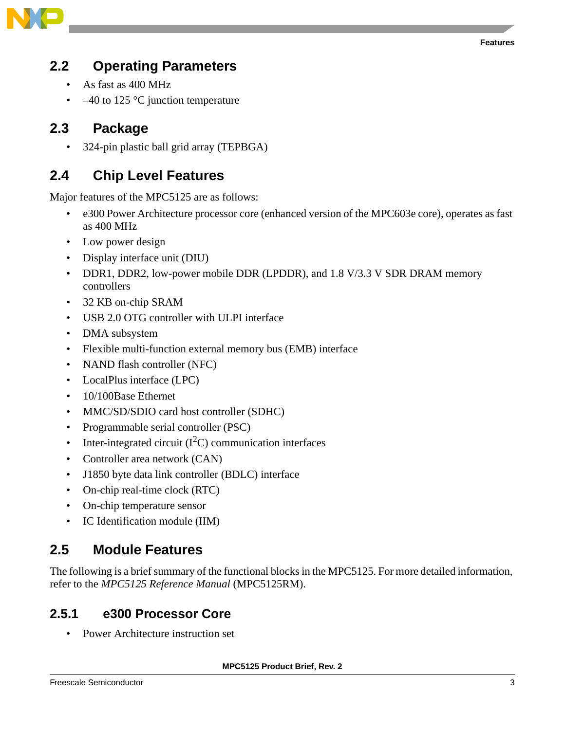

### <span id="page-2-0"></span>**2.2 Operating Parameters**

- As fast as 400 MHz
- $-40$  to 125 °C junction temperature

### <span id="page-2-1"></span>**2.3 Package**

• 324-pin plastic ball grid array (TEPBGA)

### <span id="page-2-2"></span>**2.4 Chip Level Features**

Major features of the MPC5125 are as follows:

- e300 Power Architecture processor core (enhanced version of the MPC603e core), operates as fast as 400 MHz
- Low power design
- Display interface unit (DIU)
- DDR1, DDR2, low-power mobile DDR (LPDDR), and 1.8 V/3.3 V SDR DRAM memory controllers
- 32 KB on-chip SRAM
- USB 2.0 OTG controller with ULPI interface
- DMA subsystem
- Flexible multi-function external memory bus (EMB) interface
- NAND flash controller (NFC)
- LocalPlus interface (LPC)
- 10/100Base Ethernet
- MMC/SD/SDIO card host controller (SDHC)
- Programmable serial controller (PSC)
- Inter-integrated circuit  $(I<sup>2</sup>C)$  communication interfaces
- Controller area network (CAN)
- J1850 byte data link controller (BDLC) interface
- On-chip real-time clock (RTC)
- On-chip temperature sensor
- IC Identification module (IIM)

### <span id="page-2-3"></span>**2.5 Module Features**

The following is a brief summary of the functional blocks in the MPC5125. For more detailed information, refer to the *MPC5125 Reference Manual* (MPC5125RM).

#### **2.5.1 e300 Processor Core**

• Power Architecture instruction set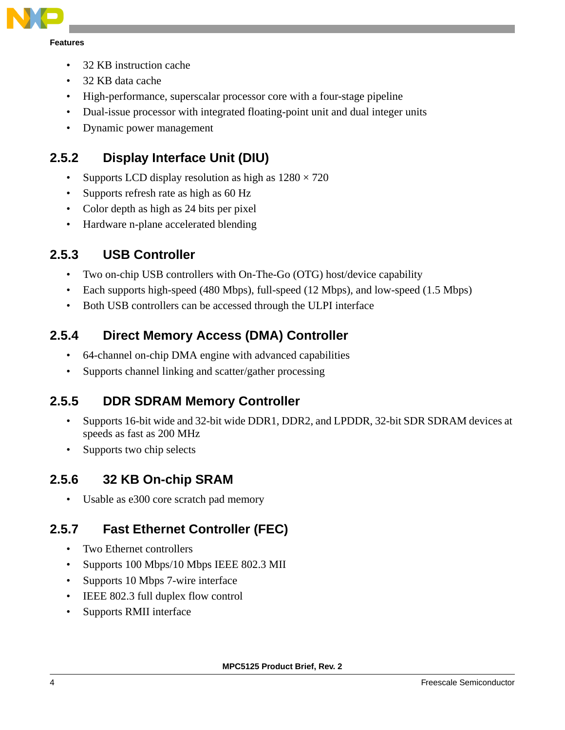

- 32 KB instruction cache
- 32 KB data cache
- High-performance, superscalar processor core with a four-stage pipeline
- Dual-issue processor with integrated floating-point unit and dual integer units
- Dynamic power management

### **2.5.2 Display Interface Unit (DIU)**

- Supports LCD display resolution as high as  $1280 \times 720$
- Supports refresh rate as high as 60 Hz
- Color depth as high as 24 bits per pixel
- Hardware n-plane accelerated blending

#### **2.5.3 USB Controller**

- Two on-chip USB controllers with On-The-Go (OTG) host/device capability
- Each supports high-speed (480 Mbps), full-speed (12 Mbps), and low-speed (1.5 Mbps)
- Both USB controllers can be accessed through the ULPI interface

#### **2.5.4 Direct Memory Access (DMA) Controller**

- 64-channel on-chip DMA engine with advanced capabilities
- Supports channel linking and scatter/gather processing

#### **2.5.5 DDR SDRAM Memory Controller**

- Supports 16-bit wide and 32-bit wide DDR1, DDR2, and LPDDR, 32-bit SDR SDRAM devices at speeds as fast as 200 MHz
- Supports two chip selects

#### **2.5.6 32 KB On-chip SRAM**

• Usable as e300 core scratch pad memory

#### **2.5.7 Fast Ethernet Controller (FEC)**

- Two Ethernet controllers
- Supports 100 Mbps/10 Mbps IEEE 802.3 MII
- Supports 10 Mbps 7-wire interface
- IEEE 802.3 full duplex flow control
- Supports RMII interface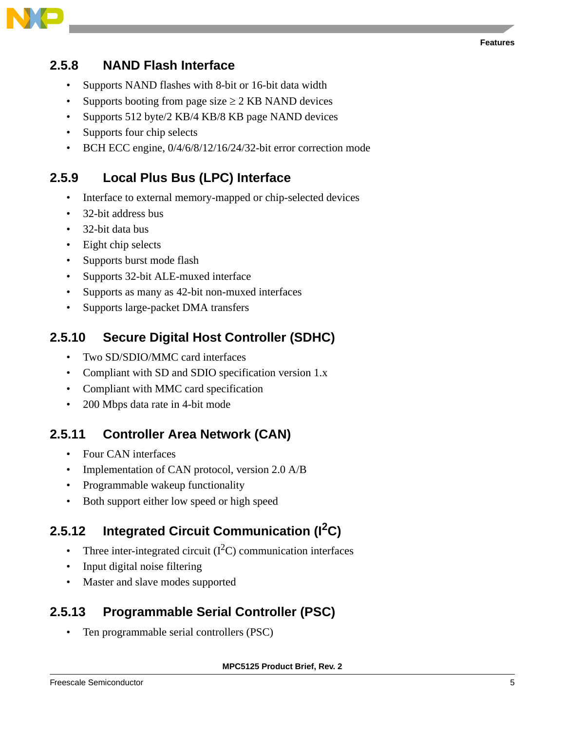

#### **2.5.8 NAND Flash Interface**

- Supports NAND flashes with 8-bit or 16-bit data width
- Supports booting from page size  $\geq$  2 KB NAND devices
- Supports 512 byte/2 KB/4 KB/8 KB page NAND devices
- Supports four chip selects
- BCH ECC engine,  $0/4/6/8/12/16/24/32$ -bit error correction mode

#### **2.5.9 Local Plus Bus (LPC) Interface**

- Interface to external memory-mapped or chip-selected devices
- 32-bit address bus
- 32-bit data bus
- Eight chip selects
- Supports burst mode flash
- Supports 32-bit ALE-muxed interface
- Supports as many as 42-bit non-muxed interfaces
- Supports large-packet DMA transfers

#### **2.5.10 Secure Digital Host Controller (SDHC)**

- Two SD/SDIO/MMC card interfaces
- Compliant with SD and SDIO specification version 1.x
- Compliant with MMC card specification
- 200 Mbps data rate in 4-bit mode

#### **2.5.11 Controller Area Network (CAN)**

- Four CAN interfaces
- Implementation of CAN protocol, version 2.0 A/B
- Programmable wakeup functionality
- Both support either low speed or high speed

### **2.5.12 Integrated Circuit Communication (I2C)**

- Three inter-integrated circuit  $(I<sup>2</sup>C)$  communication interfaces
- Input digital noise filtering
- Master and slave modes supported

#### **2.5.13 Programmable Serial Controller (PSC)**

• Ten programmable serial controllers (PSC)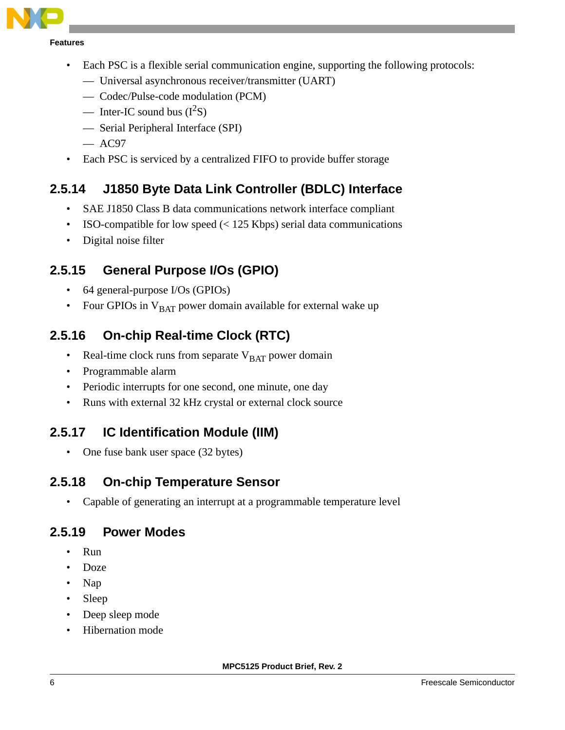

**Features**

- Each PSC is a flexible serial communication engine, supporting the following protocols:
	- Universal asynchronous receiver/transmitter (UART)
	- Codec/Pulse-code modulation (PCM)
	- Inter-IC sound bus  $(I^2S)$
	- Serial Peripheral Interface (SPI)
	- $-$  AC97
- Each PSC is serviced by a centralized FIFO to provide buffer storage

### **2.5.14 J1850 Byte Data Link Controller (BDLC) Interface**

- SAE J1850 Class B data communications network interface compliant
- ISO-compatible for low speed  $\left($  < 125 Kbps) serial data communications
- Digital noise filter

### **2.5.15 General Purpose I/Os (GPIO)**

- 64 general-purpose I/Os (GPIOs)
- Four GPIOs in  $V<sub>BAT</sub>$  power domain available for external wake up

### **2.5.16 On-chip Real-time Clock (RTC)**

- Real-time clock runs from separate  $V<sub>BAT</sub>$  power domain
- Programmable alarm
- Periodic interrupts for one second, one minute, one day
- Runs with external 32 kHz crystal or external clock source

### **2.5.17 IC Identification Module (IIM)**

• One fuse bank user space (32 bytes)

#### **2.5.18 On-chip Temperature Sensor**

• Capable of generating an interrupt at a programmable temperature level

#### **2.5.19 Power Modes**

- Run
- Doze
- Nap
- Sleep
- Deep sleep mode
- Hibernation mode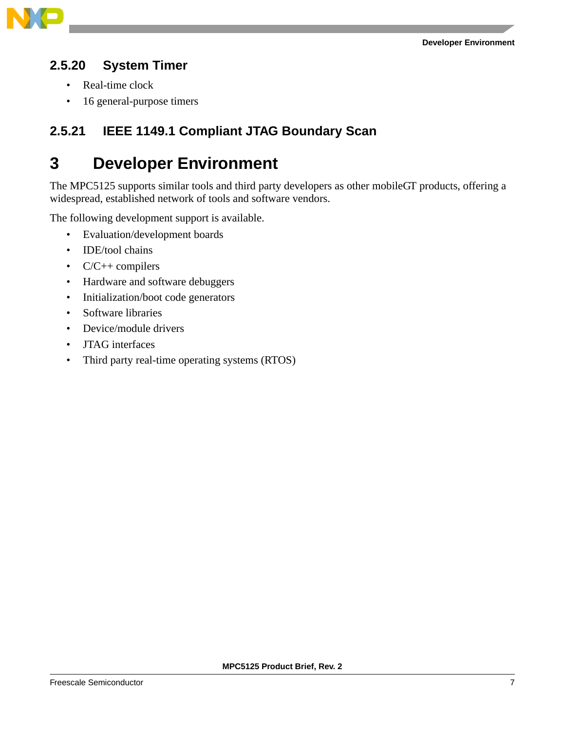

#### **2.5.20 System Timer**

- Real-time clock
- 16 general-purpose timers

#### **2.5.21 IEEE 1149.1 Compliant JTAG Boundary Scan**

### **3 Developer Environment**

The MPC5125 supports similar tools and third party developers as other mobileGT products, offering a widespread, established network of tools and software vendors.

The following development support is available.

- Evaluation/development boards
- **IDE/tool** chains
- $C/C++$  compilers
- Hardware and software debuggers
- Initialization/boot code generators
- Software libraries
- Device/module drivers
- JTAG interfaces
- Third party real-time operating systems (RTOS)